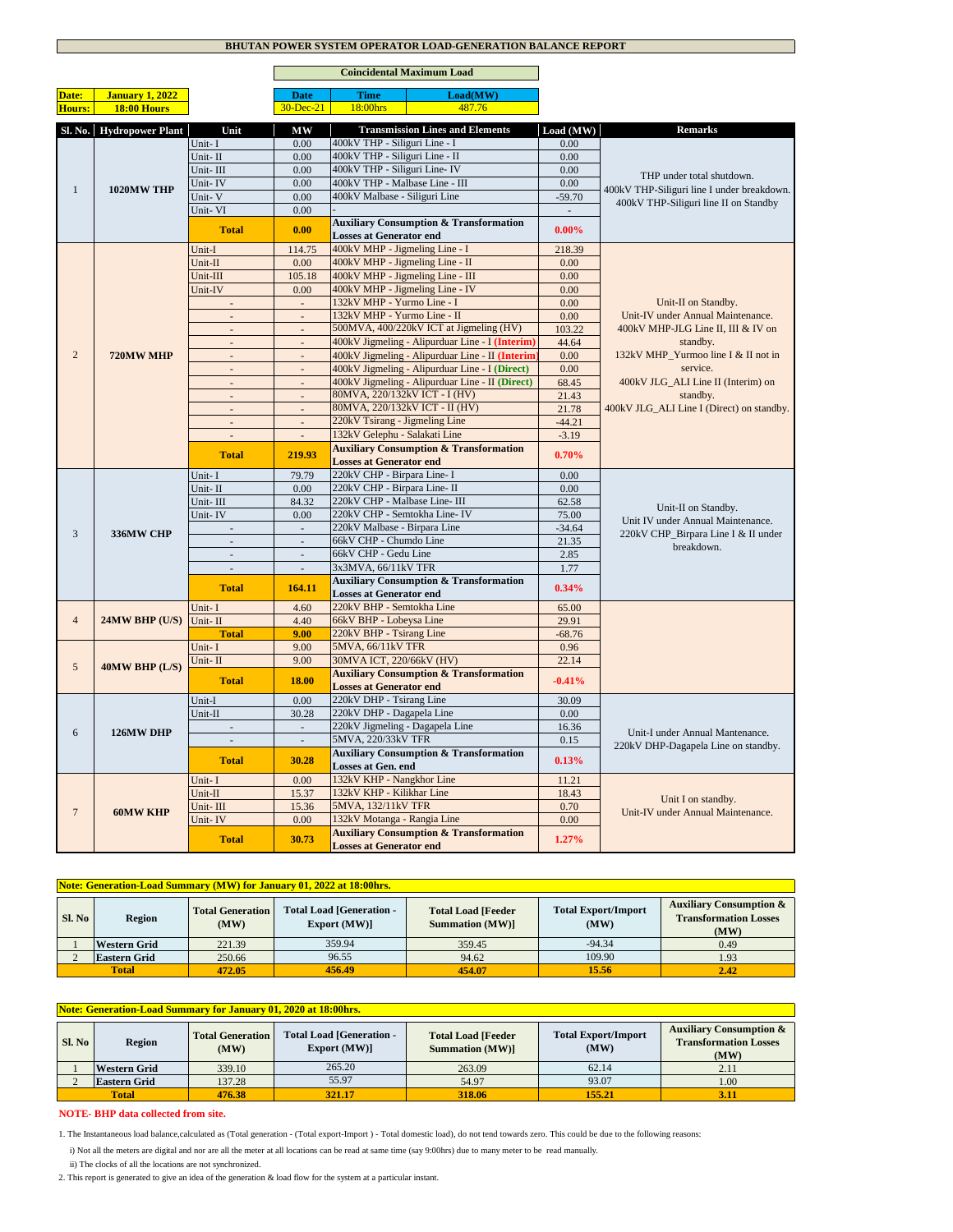## **BHUTAN POWER SYSTEM OPERATOR LOAD-GENERATION BALANCE REPORT**

|                |                          |                             | <b>Coincidental Maximum Load</b> |                                                                                     |           |                                                   |
|----------------|--------------------------|-----------------------------|----------------------------------|-------------------------------------------------------------------------------------|-----------|---------------------------------------------------|
| Date:          | <b>January 1, 2022</b>   |                             | <b>Date</b>                      | Load(MW)<br><b>Time</b>                                                             |           |                                                   |
| <b>Hours:</b>  | <b>18:00 Hours</b>       |                             | $30 - Dec-21$                    | 18:00hrs<br>487.76                                                                  |           |                                                   |
|                |                          |                             |                                  |                                                                                     |           |                                                   |
|                | Sl. No. Hydropower Plant | Unit                        | MW                               | <b>Transmission Lines and Elements</b>                                              | Load (MW) | <b>Remarks</b>                                    |
|                |                          | Unit-I                      | 0.00                             | 400kV THP - Siliguri Line - I                                                       | 0.00      |                                                   |
|                |                          | Unit-II                     | 0.00                             | 400kV THP - Siliguri Line - II                                                      | 0.00      |                                                   |
|                |                          | Unit-III                    | 0.00                             | 400kV THP - Siliguri Line-IV                                                        | 0.00      | THP under total shutdown.                         |
| $\mathbf{1}$   | 1020MW THP               | Unit-IV                     | 0.00                             | 400kV THP - Malbase Line - III<br>400kV Malbase - Siliguri Line                     | 0.00      | 400kV THP-Siliguri line I under breakdown.        |
|                |                          | Unit-V<br>Unit-VI           | 0.00                             |                                                                                     | $-59.70$  | 400kV THP-Siliguri line II on Standby             |
|                |                          |                             | 0.00                             |                                                                                     | ÷.        |                                                   |
|                |                          | <b>Total</b>                | 0.00                             | <b>Auxiliary Consumption &amp; Transformation</b><br><b>Losses at Generator end</b> | $0.00\%$  |                                                   |
|                |                          | Unit-I                      | 114.75                           | 400kV MHP - Jigmeling Line - I                                                      | 218.39    |                                                   |
|                |                          | Unit-II                     | 0.00                             | 400kV MHP - Jigmeling Line - II                                                     | 0.00      |                                                   |
|                |                          | Unit-III                    | 105.18                           | 400kV MHP - Jigmeling Line - III                                                    | 0.00      |                                                   |
|                |                          | Unit-IV                     | 0.00                             | 400kV MHP - Jigmeling Line - IV                                                     | 0.00      |                                                   |
|                |                          |                             | $\overline{\phantom{a}}$         | 132kV MHP - Yurmo Line - I                                                          | 0.00      | Unit-II on Standby.                               |
|                |                          |                             |                                  | 132kV MHP - Yurmo Line - II                                                         | 0.00      | Unit-IV under Annual Maintenance.                 |
|                |                          | $\sim$                      | $\Box$                           | 500MVA, 400/220kV ICT at Jigmeling (HV)                                             | 103.22    | 400kV MHP-JLG Line II, III & IV on                |
|                |                          | ÷,                          | $\Box$                           | 400kV Jigmeling - Alipurduar Line - I (Interim)                                     | 44.64     | standby.                                          |
| $\overline{2}$ | 720MW MHP                | $\omega$                    | $\omega$                         | 400kV Jigmeling - Alipurduar Line - II (Interim                                     | 0.00      | 132kV MHP Yurmoo line I & II not in               |
|                |                          | $\bar{\phantom{a}}$         | $\Box$                           | 400kV Jigmeling - Alipurduar Line - I (Direct)                                      | 0.00      | service.                                          |
|                |                          | $\mathcal{L}^{\mathcal{A}}$ | $\mathbb{Z}^2$                   | 400kV Jigmeling - Alipurduar Line - II (Direct)                                     | 68.45     | 400kV JLG_ALI Line II (Interim) on                |
|                |                          | $\sim$                      | $\overline{\phantom{a}}$         | 80MVA, 220/132kV ICT - I (HV)                                                       | 21.43     | standby.                                          |
|                |                          | $\mathcal{L}$               | $\overline{a}$                   | 80MVA, 220/132kV ICT - II (HV)                                                      | 21.78     | 400kV JLG_ALI Line I (Direct) on standby.         |
|                |                          | $\sim$                      | $\overline{\phantom{a}}$         | 220kV Tsirang - Jigmeling Line                                                      | $-44.21$  |                                                   |
|                |                          | ÷,                          | $\overline{a}$                   | 132kV Gelephu - Salakati Line                                                       | $-3.19$   |                                                   |
|                |                          | <b>Total</b>                | 219.93                           | <b>Auxiliary Consumption &amp; Transformation</b><br><b>Losses at Generator end</b> | 0.70%     |                                                   |
|                |                          | Unit-I                      | 79.79                            | 220kV CHP - Birpara Line- I                                                         | 0.00      |                                                   |
|                |                          | Unit-II                     | 0.00                             | 220kV CHP - Birpara Line- II                                                        | 0.00      |                                                   |
|                |                          | Unit-III                    | 84.32                            | 220kV CHP - Malbase Line- III                                                       | 62.58     |                                                   |
|                | 336MW CHP                | Unit-IV                     | 0.00                             | 220kV CHP - Semtokha Line- IV                                                       | 75.00     | Unit-II on Standby.                               |
|                |                          | $\sim$                      | $\mathcal{L}_{\mathcal{A}}$      | 220kV Malbase - Birpara Line                                                        | $-34.64$  | Unit IV under Annual Maintenance.                 |
| 3              |                          | ÷.                          | L.                               | 66kV CHP - Chumdo Line                                                              | 21.35     | 220kV CHP Birpara Line I & II under<br>breakdown. |
|                |                          | $\mathcal{L}^{\pm}$         | $\mathcal{L}^{\pm}$              | 66kV CHP - Gedu Line                                                                | 2.85      |                                                   |
|                |                          | $\mathcal{L}$               |                                  | 3x3MVA, 66/11kV TFR                                                                 | 1.77      |                                                   |
|                |                          | <b>Total</b>                | 164.11                           | <b>Auxiliary Consumption &amp; Transformation</b><br><b>Losses at Generator end</b> | 0.34%     |                                                   |
|                |                          | Unit-I                      | 4.60                             | 220kV BHP - Semtokha Line                                                           | 65.00     |                                                   |
| $\overline{4}$ | 24MW BHP (U/S)           | Unit-II                     | 4.40                             | 66kV BHP - Lobeysa Line                                                             | 29.91     |                                                   |
|                |                          | <b>Total</b>                | 9.00                             | 220kV BHP - Tsirang Line                                                            | $-68.76$  |                                                   |
|                |                          | Unit-I                      | 9.00                             | 5MVA, 66/11kV TFR                                                                   | 0.96      |                                                   |
|                |                          | Unit-II                     | 9.00                             | 30MVA ICT, 220/66kV (HV)                                                            | 22.14     |                                                   |
| 5              | 40MW BHP (L/S)           |                             |                                  | <b>Auxiliary Consumption &amp; Transformation</b>                                   |           |                                                   |
|                |                          | <b>Total</b>                | 18.00                            | <b>Losses at Generator end</b>                                                      | $-0.41%$  |                                                   |
|                |                          | Unit-I                      | 0.00                             | 220kV DHP - Tsirang Line                                                            | 30.09     |                                                   |
|                |                          | Unit-II                     | 30.28                            | 220kV DHP - Dagapela Line                                                           | 0.00      |                                                   |
| 6              | 126MW DHP                |                             |                                  | 220kV Jigmeling - Dagapela Line                                                     | 16.36     | Unit-I under Annual Mantenance.                   |
|                |                          | ÷.                          | $\bar{z}$                        | 5MVA, 220/33kV TFR                                                                  | 0.15      | 220kV DHP-Dagapela Line on standby.               |
|                |                          | <b>Total</b>                | 30.28                            | <b>Auxiliary Consumption &amp; Transformation</b>                                   | 0.13%     |                                                   |
|                |                          |                             |                                  | Losses at Gen. end                                                                  |           |                                                   |
|                |                          | Unit-I                      | 0.00                             | 132kV KHP - Nangkhor Line                                                           | 11.21     |                                                   |
|                |                          | Unit-II                     | 15.37                            | 132kV KHP - Kilikhar Line                                                           | 18.43     | Unit I on standby.                                |
| $\overline{7}$ | <b>60MW KHP</b>          | Unit-III                    | 15.36                            | 5MVA, 132/11kV TFR                                                                  | 0.70      | Unit-IV under Annual Maintenance.                 |
|                |                          | Unit-IV                     | 0.00                             | 132kV Motanga - Rangia Line<br><b>Auxiliary Consumption &amp; Transformation</b>    | 0.00      |                                                   |
|                |                          | <b>Total</b>                | 30.73                            | <b>Losses at Generator end</b>                                                      | 1.27%     |                                                   |

|                        | <b>Note: Generation-Load Summary (MW) for January 01, 2022 at 18:00hrs.</b>                         |        |                                                     |                                    |                                                                            |      |  |  |  |  |  |
|------------------------|-----------------------------------------------------------------------------------------------------|--------|-----------------------------------------------------|------------------------------------|----------------------------------------------------------------------------|------|--|--|--|--|--|
| Sl. No                 | <b>Total Load [Generation -</b><br><b>Total Generation</b><br><b>Region</b><br>Export (MW)]<br>(MW) |        | <b>Total Load [Feeder</b><br><b>Summation (MW)]</b> | <b>Total Export/Import</b><br>(MW) | <b>Auxiliary Consumption &amp;</b><br><b>Transformation Losses</b><br>(MW) |      |  |  |  |  |  |
|                        | <b>Western Grid</b>                                                                                 | 221.39 | 359.94                                              | 359.45                             | $-94.34$                                                                   | 0.49 |  |  |  |  |  |
|                        | <b>Eastern Grid</b>                                                                                 | 250.66 | 96.55                                               | 94.62                              | 109.90                                                                     | 1.93 |  |  |  |  |  |
| <b>Total</b><br>472.05 |                                                                                                     |        | 456.49                                              | 454.07                             | 15.56                                                                      | 2.42 |  |  |  |  |  |

|                                                      | Note: Generation-Load Summary for January 01, 2020 at 18:00hrs.                                     |        |                                                     |                                    |                                                                            |      |  |  |  |  |
|------------------------------------------------------|-----------------------------------------------------------------------------------------------------|--------|-----------------------------------------------------|------------------------------------|----------------------------------------------------------------------------|------|--|--|--|--|
| Sl. No                                               | <b>Total Load [Generation -</b><br><b>Total Generation</b><br><b>Region</b><br>Export (MW)]<br>(MW) |        | <b>Total Load [Feeder</b><br><b>Summation (MW)]</b> | <b>Total Export/Import</b><br>(MW) | <b>Auxiliary Consumption &amp;</b><br><b>Transformation Losses</b><br>(MW) |      |  |  |  |  |
|                                                      | <b>Western Grid</b>                                                                                 | 339.10 | 265.20                                              | 263.09                             | 62.14                                                                      | 2.11 |  |  |  |  |
|                                                      | <b>Eastern Grid</b>                                                                                 | 137.28 | 55.97                                               | 54.97                              | 93.07                                                                      | 1.00 |  |  |  |  |
| 155.21<br>321.17<br><b>Total</b><br>476.38<br>318.06 |                                                                                                     |        |                                                     |                                    |                                                                            | 3.11 |  |  |  |  |

## **NOTE- BHP data collected from site.**

 ii) The clocks of all the locations are not synchronized. i) Not all the meters are digital and nor are all the meter at all locations can be read at same time (say 9:00hrs) due to many meter to be read manually. 1. The Instantaneous load balance,calculated as (Total generation - (Total export-Import ) - Total domestic load), do not tend towards zero. This could be due to the following reasons:

2. This report is generated to give an idea of the generation & load flow for the system at a particular instant.